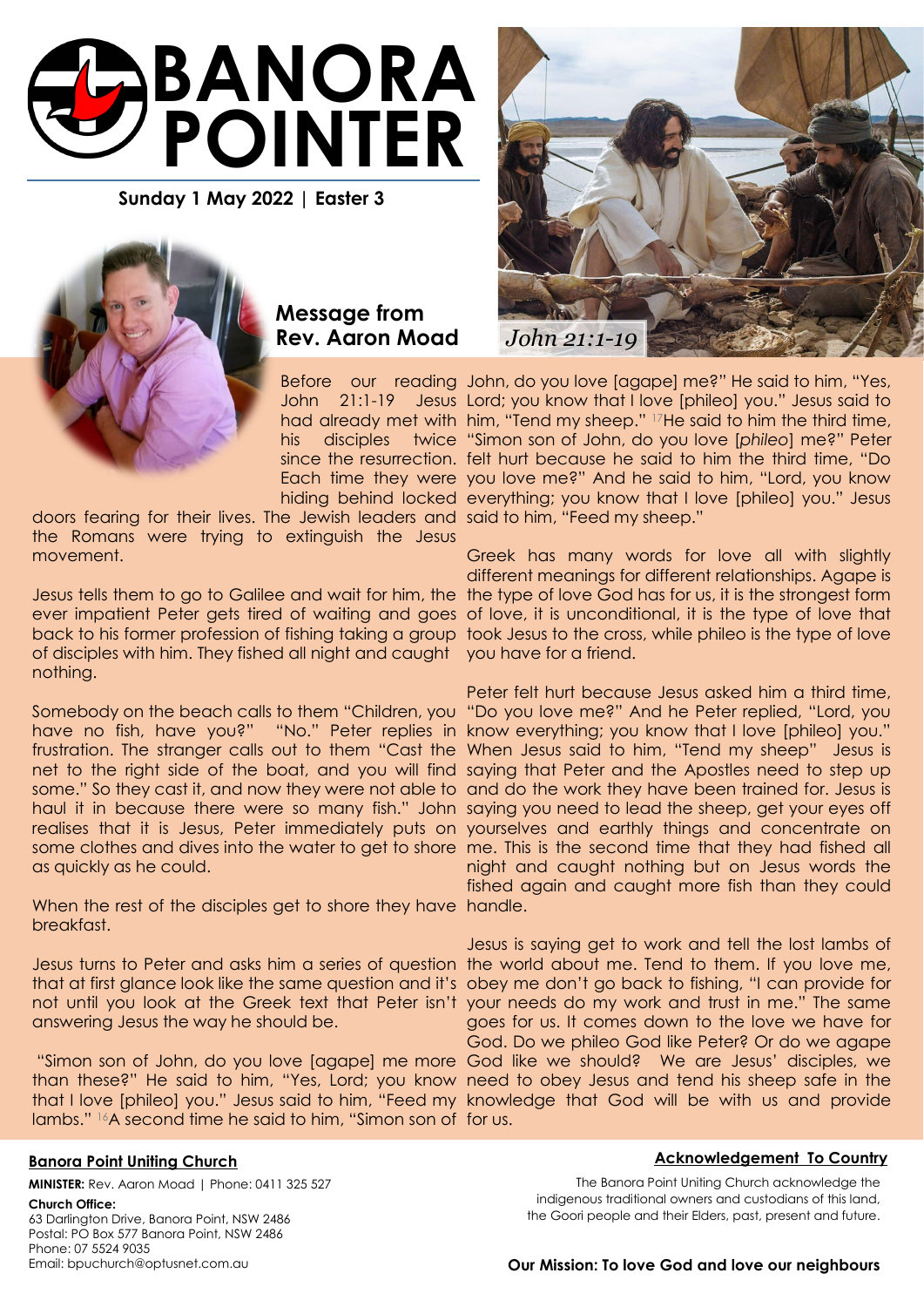

**Sunday 1 May 2022 | Easter 3**



## **Message from Rev. Aaron Moad**

doors fearing for their lives. The Jewish leaders and said to him, "Feed my sheep." the Romans were trying to extinguish the Jesus movement.

Jesus tells them to go to Galilee and wait for him, the the type of love God has for us, it is the strongest form ever impatient Peter gets tired of waiting and goes of love, it is unconditional, it is the type of love that back to his former profession of fishing taking a group took Jesus to the cross, while phileo is the type of love of disciples with him. They fished all night and caught you have for a friend. nothing.

Somebody on the beach calls to them "Children, you "Do you love me?" And he Peter replied, "Lord, you have no fish, have you?" "No." Peter replies in know everything; you know that I love [phileo] you." frustration. The stranger calls out to them "Cast the When Jesus said to him, "Tend my sheep" Jesus is net to the right side of the boat, and you will find saying that Peter and the Apostles need to step up some." So they cast it, and now they were not able to and do the work they have been trained for. Jesus is haul it in because there were so many fish." John saying you need to lead the sheep, get your eyes off realises that it is Jesus, Peter immediately puts on yourselves and earthly things and concentrate on some clothes and dives into the water to get to shore me. This is the second time that they had fished all as quickly as he could.

When the rest of the disciples get to shore they have handle. breakfast.

answering Jesus the way he should be.

than these?" He said to him, "Yes, Lord; you know need to obey Jesus and tend his sheep safe in the that I love [phileo] you." Jesus said to him, "Feed my knowledge that God will be with us and provide lambs." <sup>16</sup>A second time he said to him, "Simon son of for us.



Before our reading John, do you love [agape] me?" He said to him, "Yes, John 21:1-19 Jesus Lord; you know that I love [phileo] you." Jesus said to had already met with him, "Tend my sheep." <sup>17</sup>He said to him the third time, his disciples twice "Simon son of John, do you love [*phileo*] me?" Peter since the resurrection. felt hurt because he said to him the third time, "Do Each time they were you love me?" And he said to him, "Lord, you know hiding behind locked everything; you know that I love [phileo] you." Jesus

> Greek has many words for love all with slightly different meanings for different relationships. Agape is

> Peter felt hurt because Jesus asked him a third time, night and caught nothing but on Jesus words the fished again and caught more fish than they could

Jesus turns to Peter and asks him a series of question the world about me. Tend to them. If you love me, that at first glance look like the same question and it's obey me don't go back to fishing, "I can provide for not until you look at the Greek text that Peter isn't your needs do my work and trust in me." The same "Simon son of John, do you love [agape] me more God like we should? We are Jesus' disciples, we Jesus is saying get to work and tell the lost lambs of goes for us. It comes down to the love we have for God. Do we phileo God like Peter? Or do we agape

### **Banora Point Uniting Church**

**MINISTER:** Rev. Aaron Moad | Phone: 0411 325 527

#### **Church Office:**

63 Darlington Drive, Banora Point, NSW 2486 Postal: PO Box 577 Banora Point, NSW 2486 Phone: 07 5524 9035 Email: bpuchurch@optusnet.com.au

#### **Acknowledgement To Country**

The Banora Point Uniting Church acknowledge the indigenous traditional owners and custodians of this land, the Goori people and their Elders, past, present and future.